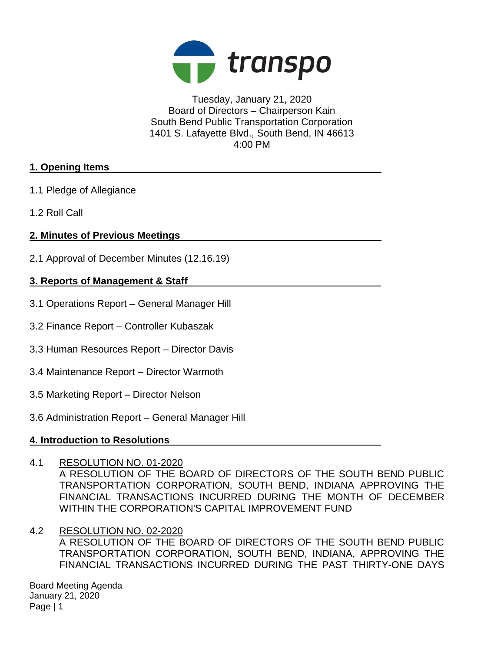

Tuesday, January 21, 2020 Board of Directors – Chairperson Kain South Bend Public Transportation Corporation 1401 S. Lafayette Blvd., South Bend, IN 46613 4:00 PM

# **1. Opening Items**

- 1.1 Pledge of Allegiance
- 1.2 Roll Call

# **2. Minutes of Previous Meetings**

2.1 Approval of December Minutes (12.16.19)

# **3. Reports of Management & Staff**

- 3.1 Operations Report General Manager Hill
- 3.2 Finance Report Controller Kubaszak
- 3.3 Human Resources Report Director Davis
- 3.4 Maintenance Report Director Warmoth
- 3.5 Marketing Report Director Nelson
- 3.6 Administration Report General Manager Hill

### **4. Introduction to Resolutions**

- 4.1 RESOLUTION NO. 01-2020 A RESOLUTION OF THE BOARD OF DIRECTORS OF THE SOUTH BEND PUBLIC TRANSPORTATION CORPORATION, SOUTH BEND, INDIANA APPROVING THE FINANCIAL TRANSACTIONS INCURRED DURING THE MONTH OF DECEMBER WITHIN THE CORPORATION'S CAPITAL IMPROVEMENT FUND
- 4.2 RESOLUTION NO. 02-2020 A RESOLUTION OF THE BOARD OF DIRECTORS OF THE SOUTH BEND PUBLIC TRANSPORTATION CORPORATION, SOUTH BEND, INDIANA, APPROVING THE FINANCIAL TRANSACTIONS INCURRED DURING THE PAST THIRTY-ONE DAYS

Board Meeting Agenda January 21, 2020 Page | 1